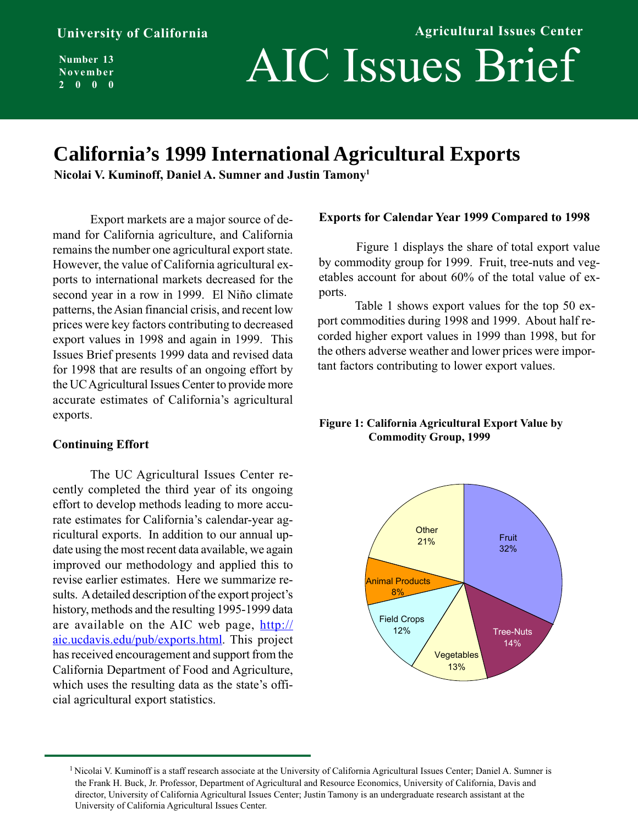**Number 13 November 2000**

# AIC Issues Brief

## **California's 1999 International Agricultural Exports**

**Nicolai V. Kuminoff, Daniel A. Sumner and Justin Tamony1**

Export markets are a major source of demand for California agriculture, and California remains the number one agricultural export state. However, the value of California agricultural exports to international markets decreased for the second year in a row in 1999. El Niño climate patterns, the Asian financial crisis, and recent low prices were key factors contributing to decreased export values in 1998 and again in 1999. This Issues Brief presents 1999 data and revised data for 1998 that are results of an ongoing effort by the UC Agricultural Issues Center to provide more accurate estimates of California's agricultural exports.

### **Continuing Effort**

The UC Agricultural Issues Center recently completed the third year of its ongoing effort to develop methods leading to more accurate estimates for California's calendar-year agricultural exports. In addition to our annual update using the most recent data available, we again improved our methodology and applied this to revise earlier estimates. Here we summarize results. A detailed description of the export project's history, methods and the resulting 1995-1999 data are available on the AIC web page, http:// aic.ucdavis.edu/pub/exports.html. This project has received encouragement and support from the California Department of Food and Agriculture, which uses the resulting data as the state's official agricultural export statistics.

### **Exports for Calendar Year 1999 Compared to 1998**

**Agricultural Issues Center**

Figure 1 displays the share of total export value by commodity group for 1999. Fruit, tree-nuts and vegetables account for about 60% of the total value of exports.

Table 1 shows export values for the top 50 export commodities during 1998 and 1999. About half recorded higher export values in 1999 than 1998, but for the others adverse weather and lower prices were important factors contributing to lower export values.

### **Figure 1: California Agricultural Export Value by Commodity Group, 1999**



<sup>&</sup>lt;sup>1</sup> Nicolai V. Kuminoff is a staff research associate at the University of California Agricultural Issues Center; Daniel A. Sumner is the Frank H. Buck, Jr. Professor, Department of Agricultural and Resource Economics, University of California, Davis and director, University of California Agricultural Issues Center; Justin Tamony is an undergraduate research assistant at the University of California Agricultural Issues Center.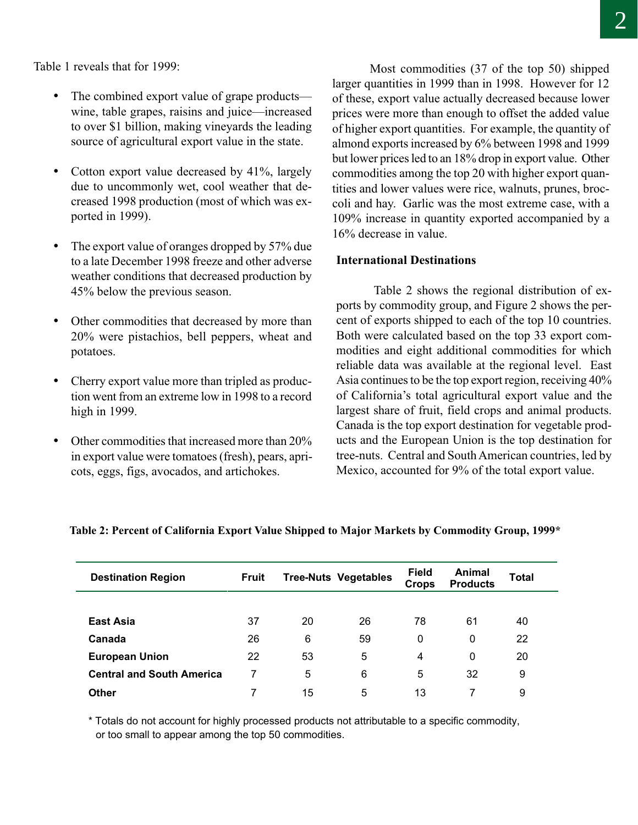Table 1 reveals that for 1999:

- The combined export value of grape products wine, table grapes, raisins and juice—increased to over \$1 billion, making vineyards the leading source of agricultural export value in the state.
- Cotton export value decreased by 41%, largely due to uncommonly wet, cool weather that decreased 1998 production (most of which was exported in 1999).
- The export value of oranges dropped by 57% due to a late December 1998 freeze and other adverse weather conditions that decreased production by 45% below the previous season.
- Other commodities that decreased by more than 20% were pistachios, bell peppers, wheat and potatoes.
- Cherry export value more than tripled as production went from an extreme low in 1998 to a record high in 1999.
- Other commodities that increased more than 20% in export value were tomatoes (fresh), pears, apricots, eggs, figs, avocados, and artichokes.

Most commodities (37 of the top 50) shipped larger quantities in 1999 than in 1998. However for 12 of these, export value actually decreased because lower prices were more than enough to offset the added value of higher export quantities. For example, the quantity of almond exports increased by 6% between 1998 and 1999 but lower prices led to an 18% drop in export value. Other commodities among the top 20 with higher export quantities and lower values were rice, walnuts, prunes, broccoli and hay. Garlic was the most extreme case, with a 109% increase in quantity exported accompanied by a 16% decrease in value.

### **International Destinations**

Table 2 shows the regional distribution of exports by commodity group, and Figure 2 shows the percent of exports shipped to each of the top 10 countries. Both were calculated based on the top 33 export commodities and eight additional commodities for which reliable data was available at the regional level. East Asia continues to be the top export region, receiving 40% of California's total agricultural export value and the largest share of fruit, field crops and animal products. Canada is the top export destination for vegetable products and the European Union is the top destination for tree-nuts. Central and South American countries, led by Mexico, accounted for 9% of the total export value.

| <b>Destination Region</b>        | Fruit |    | <b>Tree-Nuts Vegetables</b> | <b>Field</b><br><b>Crops</b> | Animal<br><b>Products</b> | Total |  |
|----------------------------------|-------|----|-----------------------------|------------------------------|---------------------------|-------|--|
|                                  |       |    |                             |                              |                           |       |  |
| East Asia                        | 37    | 20 | 26                          | 78                           | 61                        | 40    |  |
| Canada                           | 26    | 6  | 59                          | 0                            | 0                         | 22    |  |
| <b>European Union</b>            | 22    | 53 | 5                           | 4                            | 0                         | 20    |  |
| <b>Central and South America</b> |       | 5  | 6                           | 5                            | 32                        | 9     |  |
| Other                            |       | 15 | 5                           | 13                           | 7                         | 9     |  |

### **Table 2: Percent of California Export Value Shipped to Major Markets by Commodity Group, 1999\***

\* Totals do not account for highly processed products not attributable to a specific commodity, or too small to appear among the top 50 commodities.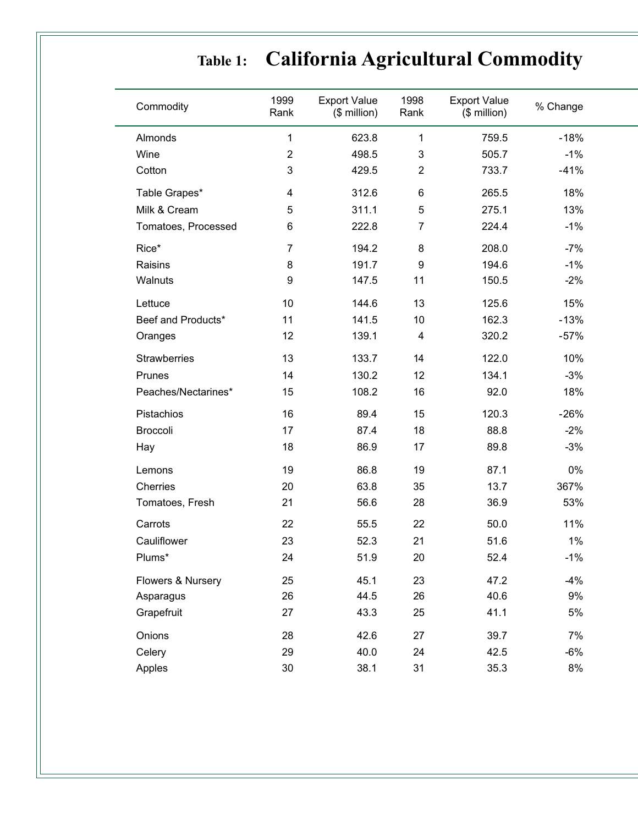# **Table 1: California Agricultural Commodity**

| Commodity           | 1999<br>Rank   | <b>Export Value</b><br>(\$ million) | 1998<br>Rank            | <b>Export Value</b><br>$$$ million) | % Change |  |
|---------------------|----------------|-------------------------------------|-------------------------|-------------------------------------|----------|--|
| Almonds             | 1              | 623.8                               | 1                       | 759.5                               | $-18%$   |  |
| Wine                | $\overline{2}$ | 498.5                               | 3                       | 505.7                               | $-1%$    |  |
| Cotton              | 3              | 429.5                               | $\overline{2}$          | 733.7                               | $-41%$   |  |
| Table Grapes*       | 4              | 312.6                               | 6                       | 265.5                               | 18%      |  |
| Milk & Cream        | 5              | 311.1                               | 5                       | 275.1                               | 13%      |  |
| Tomatoes, Processed | 6              | 222.8                               | $\overline{7}$          | 224.4                               | $-1%$    |  |
| Rice*               | 7              | 194.2                               | 8                       | 208.0                               | $-7%$    |  |
| Raisins             | 8              | 191.7                               | $\boldsymbol{9}$        | 194.6                               | $-1%$    |  |
| Walnuts             | 9              | 147.5                               | 11                      | 150.5                               | $-2%$    |  |
| Lettuce             | 10             | 144.6                               | 13                      | 125.6                               | 15%      |  |
| Beef and Products*  | 11             | 141.5                               | 10                      | 162.3                               | $-13%$   |  |
| Oranges             | 12             | 139.1                               | $\overline{\mathbf{4}}$ | 320.2                               | $-57%$   |  |
| <b>Strawberries</b> | 13             | 133.7                               | 14                      | 122.0                               | 10%      |  |
| Prunes              | 14             | 130.2                               | 12                      | 134.1                               | $-3%$    |  |
| Peaches/Nectarines* | 15             | 108.2                               | 16                      | 92.0                                | 18%      |  |
| Pistachios          | 16             | 89.4                                | 15                      | 120.3                               | $-26%$   |  |
| Broccoli            | 17             | 87.4                                | 18                      | 88.8                                | $-2%$    |  |
| Hay                 | 18             | 86.9                                | 17                      | 89.8                                | $-3%$    |  |
| Lemons              | 19             | 86.8                                | 19                      | 87.1                                | $0\%$    |  |
| Cherries            | 20             | 63.8                                | 35                      | 13.7                                | 367%     |  |
| Tomatoes, Fresh     | 21             | 56.6                                | 28                      | 36.9                                | 53%      |  |
| Carrots             | 22             | 55.5                                | 22                      | 50.0                                | 11%      |  |
| Cauliflower         | 23             | 52.3                                | 21                      | 51.6                                | 1%       |  |
| Plums*              | 24             | 51.9                                | 20                      | 52.4                                | $-1%$    |  |
| Flowers & Nursery   | 25             | 45.1                                | 23                      | 47.2                                | $-4%$    |  |
| Asparagus           | 26             | 44.5                                | 26                      | 40.6                                | 9%       |  |
| Grapefruit          | 27             | 43.3                                | 25                      | 41.1                                | 5%       |  |
| Onions              | 28             | 42.6                                | 27                      | 39.7                                | 7%       |  |
| Celery              | 29             | 40.0                                | 24                      | 42.5                                | $-6%$    |  |
| Apples              | 30             | 38.1                                | 31                      | 35.3                                | 8%       |  |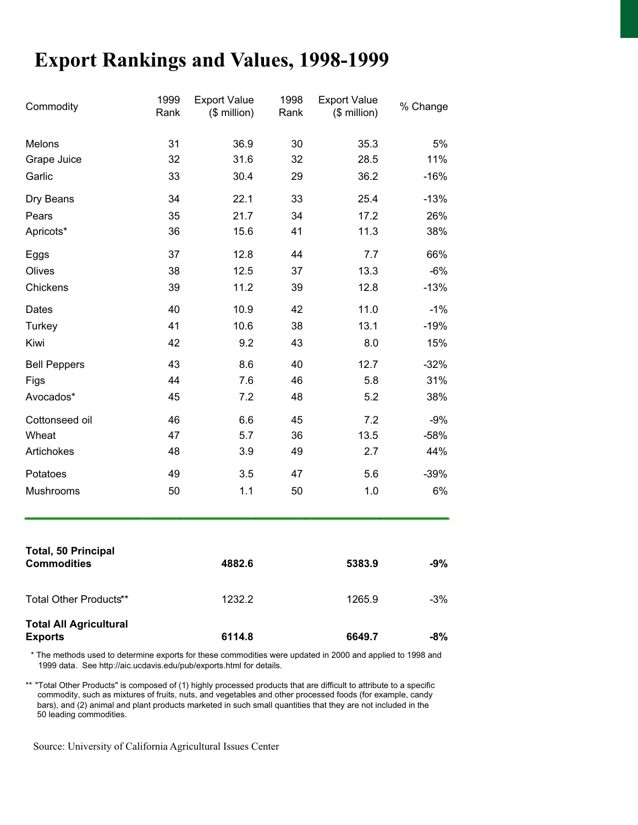## **Export Rankings and Values, 1998-1999**

| Commodity                                       | 1999<br>Rank | <b>Export Value</b><br>$($$ million) | 1998<br>Rank | <b>Export Value</b><br>(\$ million) | % Change |
|-------------------------------------------------|--------------|--------------------------------------|--------------|-------------------------------------|----------|
| Melons                                          | 31           | 36.9                                 | 30           | 35.3                                | 5%       |
| Grape Juice                                     | 32           | 31.6                                 | 32           | 28.5                                | 11%      |
| Garlic                                          | 33           | 30.4                                 | 29           | 36.2                                | $-16%$   |
| Dry Beans                                       | 34           | 22.1                                 | 33           | 25.4                                | $-13%$   |
| Pears                                           | 35           | 21.7                                 | 34           | 17.2                                | 26%      |
| Apricots*                                       | 36           | 15.6                                 | 41           | 11.3                                | 38%      |
| Eggs                                            | 37           | 12.8                                 | 44           | 7.7                                 | 66%      |
| Olives                                          | 38           | 12.5                                 | 37           | 13.3                                | $-6%$    |
| Chickens                                        | 39           | 11.2                                 | 39           | 12.8                                | $-13%$   |
| Dates                                           | 40           | 10.9                                 | 42           | 11.0                                | $-1%$    |
| <b>Turkey</b>                                   | 41           | 10.6                                 | 38           | 13.1                                | $-19%$   |
| Kiwi                                            | 42           | 9.2                                  | 43           | 8.0                                 | 15%      |
| <b>Bell Peppers</b>                             | 43           | 8.6                                  | 40           | 12.7                                | $-32%$   |
| Figs                                            | 44           | 7.6                                  | 46           | 5.8                                 | 31%      |
| Avocados*                                       | 45           | 7.2                                  | 48           | 5.2                                 | 38%      |
| Cottonseed oil                                  | 46           | 6.6                                  | 45           | 7.2                                 | $-9%$    |
| Wheat                                           | 47           | 5.7                                  | 36           | 13.5                                | $-58%$   |
| Artichokes                                      | 48           | 3.9                                  | 49           | 2.7                                 | 44%      |
| Potatoes                                        | 49           | 3.5                                  | 47           | 5.6                                 | $-39%$   |
| Mushrooms                                       | 50           | 1.1                                  | 50           | 1.0                                 | 6%       |
| <b>Total, 50 Principal</b>                      |              |                                      |              |                                     |          |
| <b>Commodities</b>                              |              | 4882.6                               |              | 5383.9                              | $-9%$    |
| Total Other Products**                          |              | 1232.2                               |              | 1265.9                              | $-3%$    |
| <b>Total All Agricultural</b><br><b>Exports</b> |              | 6114.8                               |              | 6649.7                              | -8%      |

\* The methods used to determine exports for these commodities were updated in 2000 and applied to 1998 and 1999 data. See http://aic.ucdavis.edu/pub/exports.html for details.

\*\* "Total Other Products" is composed of (1) highly processed products that are difficult to attribute to a specific commodity, such as mixtures of fruits, nuts, and vegetables and other processed foods (for example, candy bars), and (2) animal and plant products marketed in such small quantities that they are not included in the 50 leading commodities.

Source: University of California Agricultural Issues Center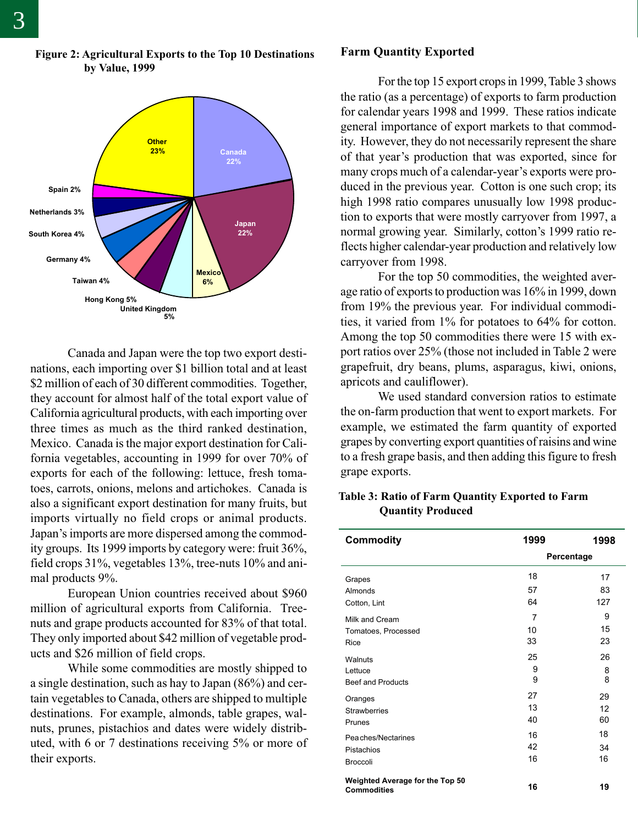

### **Figure 2: Agricultural Exports to the Top 10 Destinations by Value, 1999**

Canada and Japan were the top two export destinations, each importing over \$1 billion total and at least \$2 million of each of 30 different commodities. Together, they account for almost half of the total export value of California agricultural products, with each importing over three times as much as the third ranked destination, Mexico. Canada is the major export destination for California vegetables, accounting in 1999 for over 70% of exports for each of the following: lettuce, fresh tomatoes, carrots, onions, melons and artichokes. Canada is also a significant export destination for many fruits, but imports virtually no field crops or animal products. Japan's imports are more dispersed among the commodity groups. Its 1999 imports by category were: fruit 36%, field crops 31%, vegetables 13%, tree-nuts 10% and animal products 9%.

European Union countries received about \$960 million of agricultural exports from California. Treenuts and grape products accounted for 83% of that total. They only imported about \$42 million of vegetable products and \$26 million of field crops.

While some commodities are mostly shipped to a single destination, such as hay to Japan (86%) and certain vegetables to Canada, others are shipped to multiple destinations. For example, almonds, table grapes, walnuts, prunes, pistachios and dates were widely distributed, with 6 or 7 destinations receiving 5% or more of their exports.

#### **Farm Quantity Exported**

For the top 15 export crops in 1999, Table 3 shows the ratio (as a percentage) of exports to farm production for calendar years 1998 and 1999. These ratios indicate general importance of export markets to that commodity. However, they do not necessarily represent the share of that year's production that was exported, since for many crops much of a calendar-year's exports were produced in the previous year. Cotton is one such crop; its high 1998 ratio compares unusually low 1998 production to exports that were mostly carryover from 1997, a normal growing year. Similarly, cotton's 1999 ratio reflects higher calendar-year production and relatively low carryover from 1998.

For the top 50 commodities, the weighted average ratio of exports to production was 16% in 1999, down from 19% the previous year. For individual commodities, it varied from 1% for potatoes to 64% for cotton. Among the top 50 commodities there were 15 with export ratios over 25% (those not included in Table 2 were grapefruit, dry beans, plums, asparagus, kiwi, onions, apricots and cauliflower).

We used standard conversion ratios to estimate the on-farm production that went to export markets. For example, we estimated the farm quantity of exported grapes by converting export quantities of raisins and wine to a fresh grape basis, and then adding this figure to fresh grape exports.

### **Table 3: Ratio of Farm Quantity Exported to Farm Quantity Produced**

| <b>Commodity</b>                | 1999 | 1998       |  |  |
|---------------------------------|------|------------|--|--|
|                                 |      | Percentage |  |  |
| Grapes                          | 18   | 17         |  |  |
| Almonds                         | 57   | 83         |  |  |
| Cotton, Lint                    | 64   | 127        |  |  |
| Milk and Cream                  | 7    | 9          |  |  |
| Tomatoes, Processed             | 10   | 15         |  |  |
| Rice                            | 33   | 23         |  |  |
| Walnuts                         | 25   | 26         |  |  |
| Lettuce                         | 9    | 8          |  |  |
| <b>Beef and Products</b>        | 9    | 8          |  |  |
| Oranges                         | 27   | 29         |  |  |
| <b>Strawberries</b>             | 13   | 12         |  |  |
| Prunes                          | 40   | 60         |  |  |
| Peaches/Nectarines              | 16   | 18         |  |  |
| Pistachios                      | 42   | 34         |  |  |
| <b>Broccoli</b>                 | 16   | 16         |  |  |
| Weighted Average for the Top 50 | 16   | 19         |  |  |
| <b>Commodities</b>              |      |            |  |  |